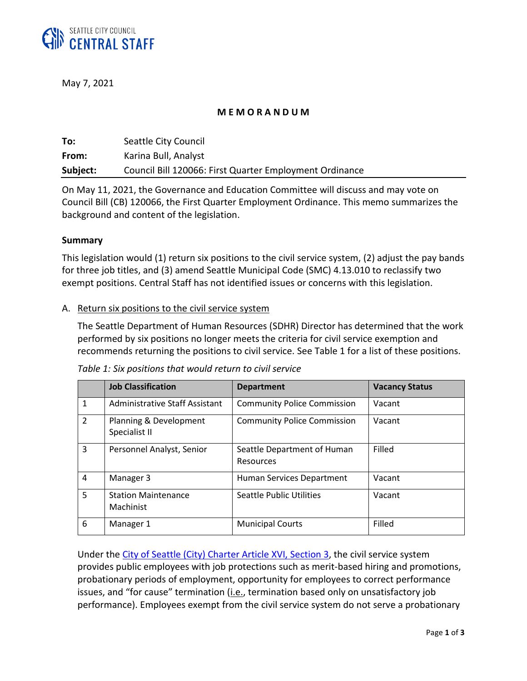

May 7, 2021

### **M E M O R A N D U M**

| To:      | Seattle City Council                                    |
|----------|---------------------------------------------------------|
| From:    | Karina Bull, Analyst                                    |
| Subject: | Council Bill 120066: First Quarter Employment Ordinance |

On May 11, 2021, the Governance and Education Committee will discuss and may vote on Council Bill (CB) 120066, the First Quarter Employment Ordinance. This memo summarizes the background and content of the legislation.

### **Summary**

This legislation would (1) return six positions to the civil service system, (2) adjust the pay bands for three job titles, and (3) amend Seattle Municipal Code (SMC) 4.13.010 to reclassify two exempt positions. Central Staff has not identified issues or concerns with this legislation.

### A. Return six positions to the civil service system

The Seattle Department of Human Resources (SDHR) Director has determined that the work performed by six positions no longer meets the criteria for civil service exemption and recommends returning the positions to civil service. See Table 1 for a list of these positions.

|               | <b>Job Classification</b>               | <b>Department</b>                        | <b>Vacancy Status</b> |
|---------------|-----------------------------------------|------------------------------------------|-----------------------|
| $\mathbf{1}$  | Administrative Staff Assistant          | <b>Community Police Commission</b>       | Vacant                |
| $\mathcal{L}$ | Planning & Development<br>Specialist II | <b>Community Police Commission</b>       | Vacant                |
| 3             | Personnel Analyst, Senior               | Seattle Department of Human<br>Resources | Filled                |
| 4             | Manager 3                               | Human Services Department                | Vacant                |
| 5             | <b>Station Maintenance</b><br>Machinist | Seattle Public Utilities                 | Vacant                |
| 6             | Manager 1                               | <b>Municipal Courts</b>                  | Filled                |

| Table 1: Six positions that would return to civil service |  |  |  |
|-----------------------------------------------------------|--|--|--|
|-----------------------------------------------------------|--|--|--|

Under the [City of Seattle \(City\) Charter Article XVI,](https://library.municode.com/wa/seattle/codes/municipal_code?nodeId=THCHSE_ARTXVIPESYCISE_S3CISE) Section 3, the civil service system provides public employees with job protections such as merit-based hiring and promotions, probationary periods of employment, opportunity for employees to correct performance issues, and "for cause" termination (*i.e.*, termination based only on unsatisfactory job performance). Employees exempt from the civil service system do not serve a probationary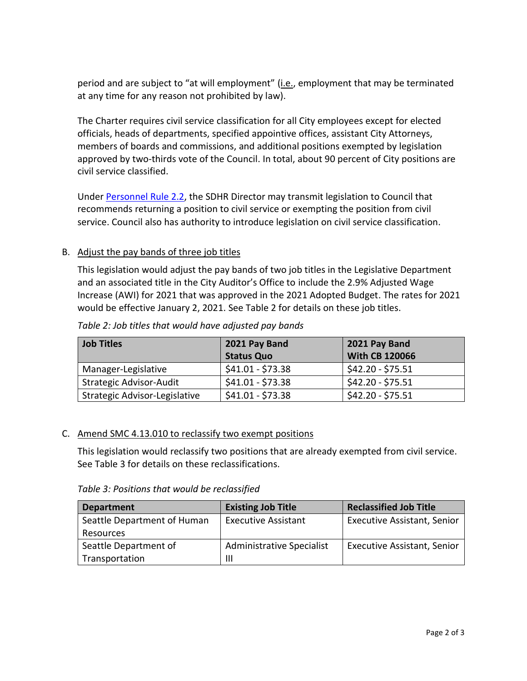period and are subject to "at will employment" (i.e., employment that may be terminated at any time for any reason not prohibited by law).

The Charter requires civil service classification for all City employees except for elected officials, heads of departments, specified appointive offices, assistant City Attorneys, members of boards and commissions, and additional positions exempted by legislation approved by two-thirds vote of the Council. In total, about 90 percent of City positions are civil service classified.

Under [Personnel Rule 2.2,](https://www.seattle.gov/personnel/resources/pubs/rules/Personnel_Rule_2.2_.pdf) the SDHR Director may transmit legislation to Council that recommends returning a position to civil service or exempting the position from civil service. Council also has authority to introduce legislation on civil service classification.

# B. Adjust the pay bands of three job titles

This legislation would adjust the pay bands of two job titles in the Legislative Department and an associated title in the City Auditor's Office to include the 2.9% Adjusted Wage Increase (AWI) for 2021 that was approved in the 2021 Adopted Budget. The rates for 2021 would be effective January 2, 2021. See Table 2 for details on these job titles.

| Job Titles                    | 2021 Pay Band     | 2021 Pay Band         |
|-------------------------------|-------------------|-----------------------|
|                               | <b>Status Quo</b> | <b>With CB 120066</b> |
| Manager-Legislative           | $$41.01 - $73.38$ | $$42.20 - $75.51$     |
| Strategic Advisor-Audit       | $$41.01 - $73.38$ | $$42.20 - $75.51$     |
| Strategic Advisor-Legislative | $$41.01 - $73.38$ | \$42.20 - \$75.51     |

*Table 2: Job titles that would have adjusted pay bands*

## C. Amend SMC 4.13.010 to reclassify two exempt positions

This legislation would reclassify two positions that are already exempted from civil service. See Table 3 for details on these reclassifications.

*Table 3: Positions that would be reclassified*

| <b>Department</b>           | <b>Existing Job Title</b>        | <b>Reclassified Job Title</b>      |
|-----------------------------|----------------------------------|------------------------------------|
| Seattle Department of Human | <b>Executive Assistant</b>       | <b>Executive Assistant, Senior</b> |
| Resources                   |                                  |                                    |
| Seattle Department of       | <b>Administrative Specialist</b> | <b>Executive Assistant, Senior</b> |
| Transportation              | Ш                                |                                    |